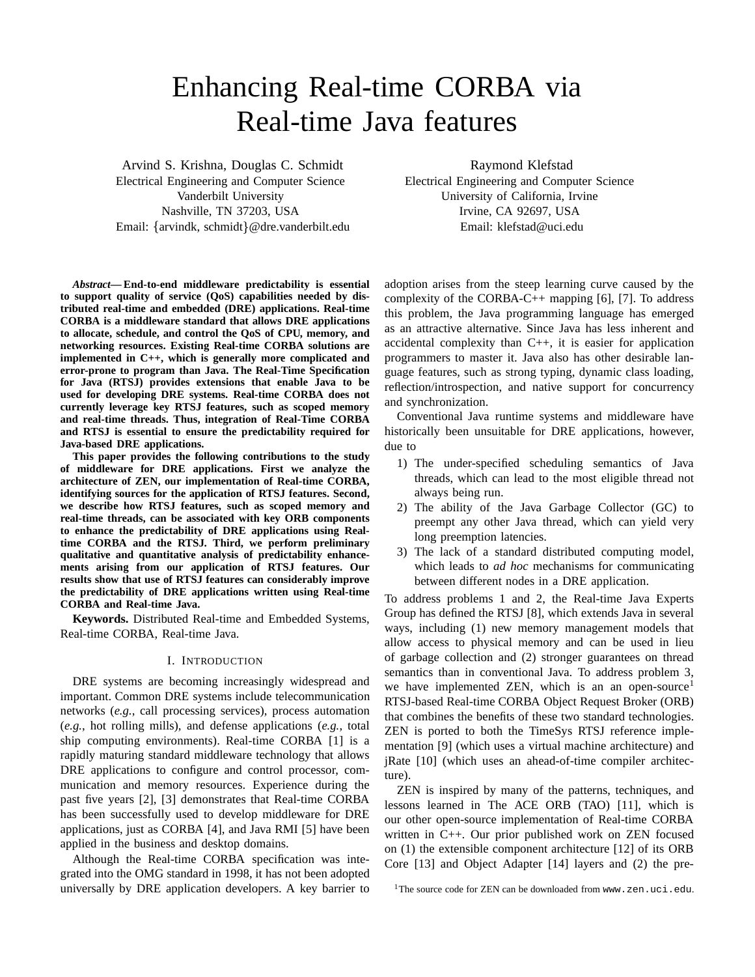# Enhancing Real-time CORBA via Real-time Java features

Arvind S. Krishna, Douglas C. Schmidt Electrical Engineering and Computer Science Vanderbilt University Nashville, TN 37203, USA Email: {arvindk, schmidt}@dre.vanderbilt.edu

*Abstract***— End-to-end middleware predictability is essential to support quality of service (QoS) capabilities needed by distributed real-time and embedded (DRE) applications. Real-time CORBA is a middleware standard that allows DRE applications to allocate, schedule, and control the QoS of CPU, memory, and networking resources. Existing Real-time CORBA solutions are implemented in C++, which is generally more complicated and error-prone to program than Java. The Real-Time Specification for Java (RTSJ) provides extensions that enable Java to be used for developing DRE systems. Real-time CORBA does not currently leverage key RTSJ features, such as scoped memory and real-time threads. Thus, integration of Real-Time CORBA and RTSJ is essential to ensure the predictability required for Java-based DRE applications.**

**This paper provides the following contributions to the study of middleware for DRE applications. First we analyze the architecture of ZEN, our implementation of Real-time CORBA, identifying sources for the application of RTSJ features. Second, we describe how RTSJ features, such as scoped memory and real-time threads, can be associated with key ORB components to enhance the predictability of DRE applications using Realtime CORBA and the RTSJ. Third, we perform preliminary qualitative and quantitative analysis of predictability enhancements arising from our application of RTSJ features. Our results show that use of RTSJ features can considerably improve the predictability of DRE applications written using Real-time CORBA and Real-time Java.**

**Keywords.** Distributed Real-time and Embedded Systems, Real-time CORBA, Real-time Java.

#### I. INTRODUCTION

DRE systems are becoming increasingly widespread and important. Common DRE systems include telecommunication networks (*e.g.*, call processing services), process automation (*e.g.*, hot rolling mills), and defense applications (*e.g.*, total ship computing environments). Real-time CORBA [1] is a rapidly maturing standard middleware technology that allows DRE applications to configure and control processor, communication and memory resources. Experience during the past five years [2], [3] demonstrates that Real-time CORBA has been successfully used to develop middleware for DRE applications, just as CORBA [4], and Java RMI [5] have been applied in the business and desktop domains.

Although the Real-time CORBA specification was integrated into the OMG standard in 1998, it has not been adopted universally by DRE application developers. A key barrier to Raymond Klefstad

Electrical Engineering and Computer Science University of California, Irvine Irvine, CA 92697, USA Email: klefstad@uci.edu

adoption arises from the steep learning curve caused by the complexity of the CORBA-C $++$  mapping [6], [7]. To address this problem, the Java programming language has emerged as an attractive alternative. Since Java has less inherent and accidental complexity than C++, it is easier for application programmers to master it. Java also has other desirable language features, such as strong typing, dynamic class loading, reflection/introspection, and native support for concurrency and synchronization.

Conventional Java runtime systems and middleware have historically been unsuitable for DRE applications, however, due to

- 1) The under-specified scheduling semantics of Java threads, which can lead to the most eligible thread not always being run.
- 2) The ability of the Java Garbage Collector (GC) to preempt any other Java thread, which can yield very long preemption latencies.
- 3) The lack of a standard distributed computing model, which leads to *ad hoc* mechanisms for communicating between different nodes in a DRE application.

To address problems 1 and 2, the Real-time Java Experts Group has defined the RTSJ [8], which extends Java in several ways, including (1) new memory management models that allow access to physical memory and can be used in lieu of garbage collection and (2) stronger guarantees on thread semantics than in conventional Java. To address problem 3, we have implemented ZEN, which is an an open-source<sup>1</sup> RTSJ-based Real-time CORBA Object Request Broker (ORB) that combines the benefits of these two standard technologies. ZEN is ported to both the TimeSys RTSJ reference implementation [9] (which uses a virtual machine architecture) and jRate [10] (which uses an ahead-of-time compiler architecture).

ZEN is inspired by many of the patterns, techniques, and lessons learned in The ACE ORB (TAO) [11], which is our other open-source implementation of Real-time CORBA written in C++. Our prior published work on ZEN focused on (1) the extensible component architecture [12] of its ORB Core [13] and Object Adapter [14] layers and (2) the pre-

<sup>&</sup>lt;sup>1</sup>The source code for ZEN can be downloaded from www.zen.uci.edu.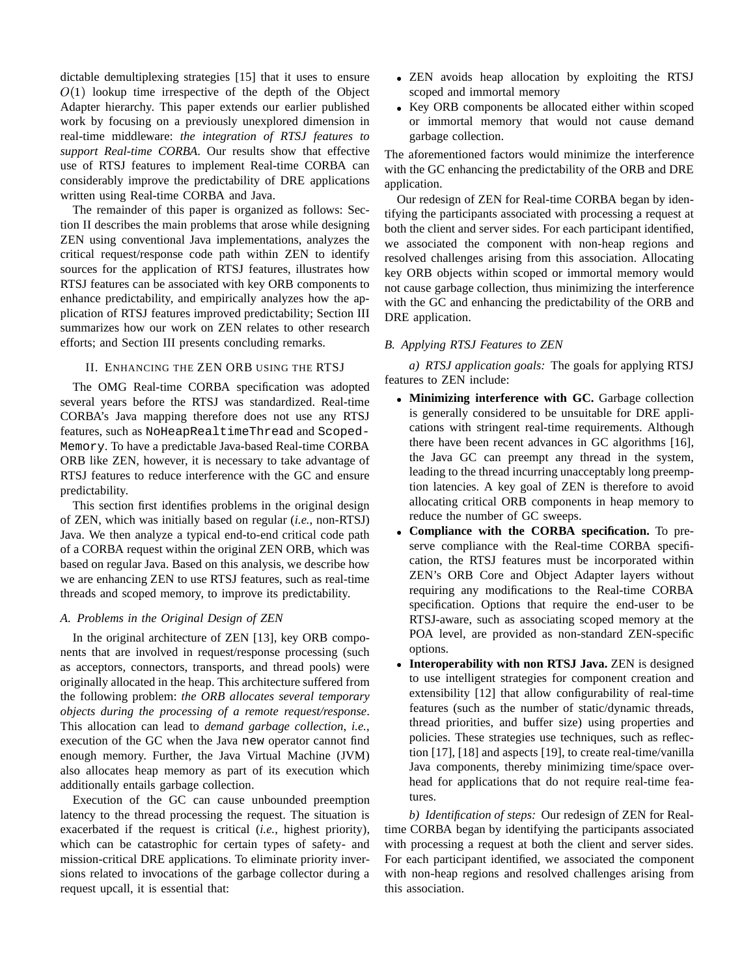dictable demultiplexing strategies [15] that it uses to ensure  $O(1)$  lookup time irrespective of the depth of the Object Adapter hierarchy. This paper extends our earlier published work by focusing on a previously unexplored dimension in real-time middleware: *the integration of RTSJ features to support Real-time CORBA*. Our results show that effective use of RTSJ features to implement Real-time CORBA can considerably improve the predictability of DRE applications written using Real-time CORBA and Java.

The remainder of this paper is organized as follows: Section II describes the main problems that arose while designing ZEN using conventional Java implementations, analyzes the critical request/response code path within ZEN to identify sources for the application of RTSJ features, illustrates how RTSJ features can be associated with key ORB components to enhance predictability, and empirically analyzes how the application of RTSJ features improved predictability; Section III summarizes how our work on ZEN relates to other research efforts; and Section III presents concluding remarks.

## II. ENHANCING THE ZEN ORB USING THE RTSJ

The OMG Real-time CORBA specification was adopted several years before the RTSJ was standardized. Real-time CORBA's Java mapping therefore does not use any RTSJ features, such as NoHeapRealtimeThread and Scoped-Memory. To have a predictable Java-based Real-time CORBA ORB like ZEN, however, it is necessary to take advantage of RTSJ features to reduce interference with the GC and ensure predictability.

This section first identifies problems in the original design of ZEN, which was initially based on regular (*i.e.*, non-RTSJ) Java. We then analyze a typical end-to-end critical code path of a CORBA request within the original ZEN ORB, which was based on regular Java. Based on this analysis, we describe how we are enhancing ZEN to use RTSJ features, such as real-time threads and scoped memory, to improve its predictability.

## *A. Problems in the Original Design of ZEN*

In the original architecture of ZEN [13], key ORB components that are involved in request/response processing (such as acceptors, connectors, transports, and thread pools) were originally allocated in the heap. This architecture suffered from the following problem: *the ORB allocates several temporary objects during the processing of a remote request/response*. This allocation can lead to *demand garbage collection*, *i.e.*, execution of the GC when the Java new operator cannot find enough memory. Further, the Java Virtual Machine (JVM) also allocates heap memory as part of its execution which additionally entails garbage collection.

Execution of the GC can cause unbounded preemption latency to the thread processing the request. The situation is exacerbated if the request is critical (*i.e.*, highest priority), which can be catastrophic for certain types of safety- and mission-critical DRE applications. To eliminate priority inversions related to invocations of the garbage collector during a request upcall, it is essential that:

- ZEN avoids heap allocation by exploiting the RTSJ scoped and immortal memory
- Key ORB components be allocated either within scoped or immortal memory that would not cause demand garbage collection.

The aforementioned factors would minimize the interference with the GC enhancing the predictability of the ORB and DRE application.

Our redesign of ZEN for Real-time CORBA began by identifying the participants associated with processing a request at both the client and server sides. For each participant identified, we associated the component with non-heap regions and resolved challenges arising from this association. Allocating key ORB objects within scoped or immortal memory would not cause garbage collection, thus minimizing the interference with the GC and enhancing the predictability of the ORB and DRE application.

## *B. Applying RTSJ Features to ZEN*

*a) RTSJ application goals:* The goals for applying RTSJ features to ZEN include:

- **Minimizing interference with GC.** Garbage collection is generally considered to be unsuitable for DRE applications with stringent real-time requirements. Although there have been recent advances in GC algorithms [16], the Java GC can preempt any thread in the system, leading to the thread incurring unacceptably long preemption latencies. A key goal of ZEN is therefore to avoid allocating critical ORB components in heap memory to reduce the number of GC sweeps.
- **Compliance with the CORBA specification.** To preserve compliance with the Real-time CORBA specification, the RTSJ features must be incorporated within ZEN's ORB Core and Object Adapter layers without requiring any modifications to the Real-time CORBA specification. Options that require the end-user to be RTSJ-aware, such as associating scoped memory at the POA level, are provided as non-standard ZEN-specific options.
- **Interoperability with non RTSJ Java.** ZEN is designed to use intelligent strategies for component creation and extensibility [12] that allow configurability of real-time features (such as the number of static/dynamic threads, thread priorities, and buffer size) using properties and policies. These strategies use techniques, such as reflection [17], [18] and aspects [19], to create real-time/vanilla Java components, thereby minimizing time/space overhead for applications that do not require real-time features.

*b) Identification of steps:* Our redesign of ZEN for Realtime CORBA began by identifying the participants associated with processing a request at both the client and server sides. For each participant identified, we associated the component with non-heap regions and resolved challenges arising from this association.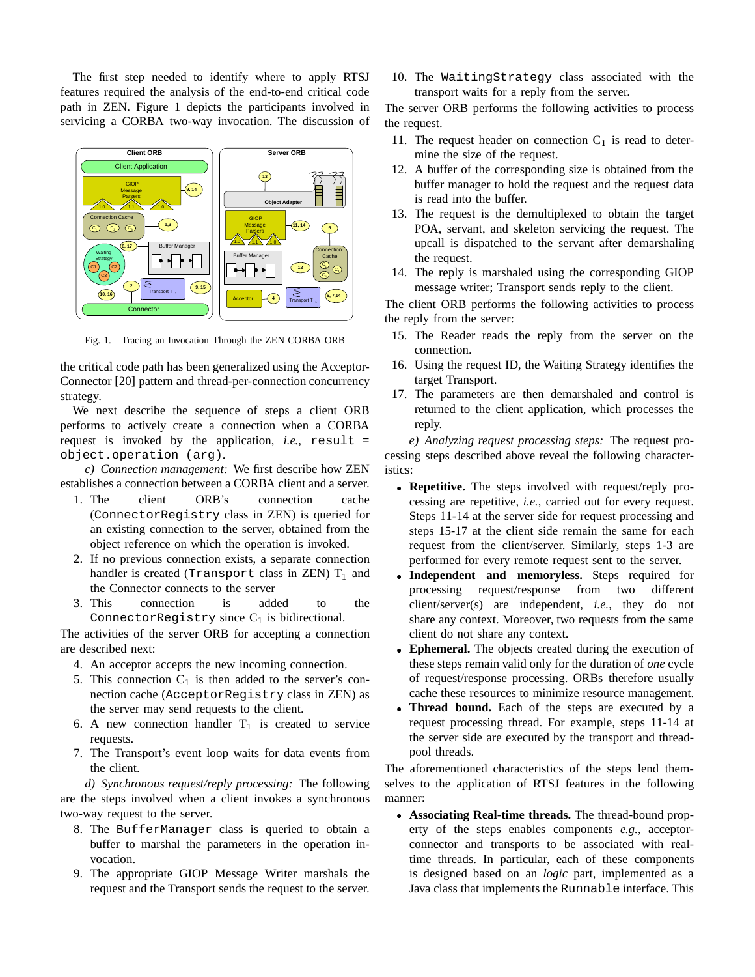The first step needed to identify where to apply RTSJ features required the analysis of the end-to-end critical code path in ZEN. Figure 1 depicts the participants involved in servicing a CORBA two-way invocation. The discussion of



Fig. 1. Tracing an Invocation Through the ZEN CORBA ORB

the critical code path has been generalized using the Acceptor-Connector [20] pattern and thread-per-connection concurrency strategy.

We next describe the sequence of steps a client ORB performs to actively create a connection when a CORBA request is invoked by the application, *i.e.*, result = object.operation (arg).

*c) Connection management:* We first describe how ZEN establishes a connection between a CORBA client and a server.

- 1. The client ORB's connection cache (ConnectorRegistry class in ZEN) is queried for an existing connection to the server, obtained from the object reference on which the operation is invoked.
- 2. If no previous connection exists, a separate connection handler is created (Transport class in ZEN)  $T_1$  and the Connector connects to the server
- 3. This connection is added to the ConnectorRegistry since  $C_1$  is bidirectional.

The activities of the server ORB for accepting a connection are described next:

- 4. An acceptor accepts the new incoming connection.
- 5. This connection  $C_1$  is then added to the server's connection cache (AcceptorRegistry class in ZEN) as the server may send requests to the client.
- 6. A new connection handler  $T_1$  is created to service requests.
- 7. The Transport's event loop waits for data events from the client.

*d) Synchronous request/reply processing:* The following are the steps involved when a client invokes a synchronous two-way request to the server.

- 8. The BufferManager class is queried to obtain a buffer to marshal the parameters in the operation invocation.
- 9. The appropriate GIOP Message Writer marshals the request and the Transport sends the request to the server.

10. The WaitingStrategy class associated with the transport waits for a reply from the server.

The server ORB performs the following activities to process the request.

- 11. The request header on connection  $C_1$  is read to determine the size of the request.
- 12. A buffer of the corresponding size is obtained from the buffer manager to hold the request and the request data is read into the buffer.
- 13. The request is the demultiplexed to obtain the target POA, servant, and skeleton servicing the request. The upcall is dispatched to the servant after demarshaling the request.
- 14. The reply is marshaled using the corresponding GIOP message writer; Transport sends reply to the client.

The client ORB performs the following activities to process the reply from the server:

- 15. The Reader reads the reply from the server on the connection.
- 16. Using the request ID, the Waiting Strategy identifies the target Transport.
- 17. The parameters are then demarshaled and control is returned to the client application, which processes the reply.

*e) Analyzing request processing steps:* The request processing steps described above reveal the following characteristics:

- **Repetitive.** The steps involved with request/reply processing are repetitive, *i.e.*, carried out for every request. Steps 11-14 at the server side for request processing and steps 15-17 at the client side remain the same for each request from the client/server. Similarly, steps 1-3 are performed for every remote request sent to the server.
- **Independent and memoryless.** Steps required for processing request/response from two different client/server(s) are independent, *i.e.*, they do not share any context. Moreover, two requests from the same client do not share any context.
- **Ephemeral.** The objects created during the execution of these steps remain valid only for the duration of *one* cycle of request/response processing. ORBs therefore usually cache these resources to minimize resource management.
- **Thread bound.** Each of the steps are executed by a request processing thread. For example, steps 11-14 at the server side are executed by the transport and threadpool threads.

The aforementioned characteristics of the steps lend themselves to the application of RTSJ features in the following manner:

 **Associating Real-time threads.** The thread-bound property of the steps enables components *e.g.*, acceptorconnector and transports to be associated with realtime threads. In particular, each of these components is designed based on an *logic* part, implemented as a Java class that implements the Runnable interface. This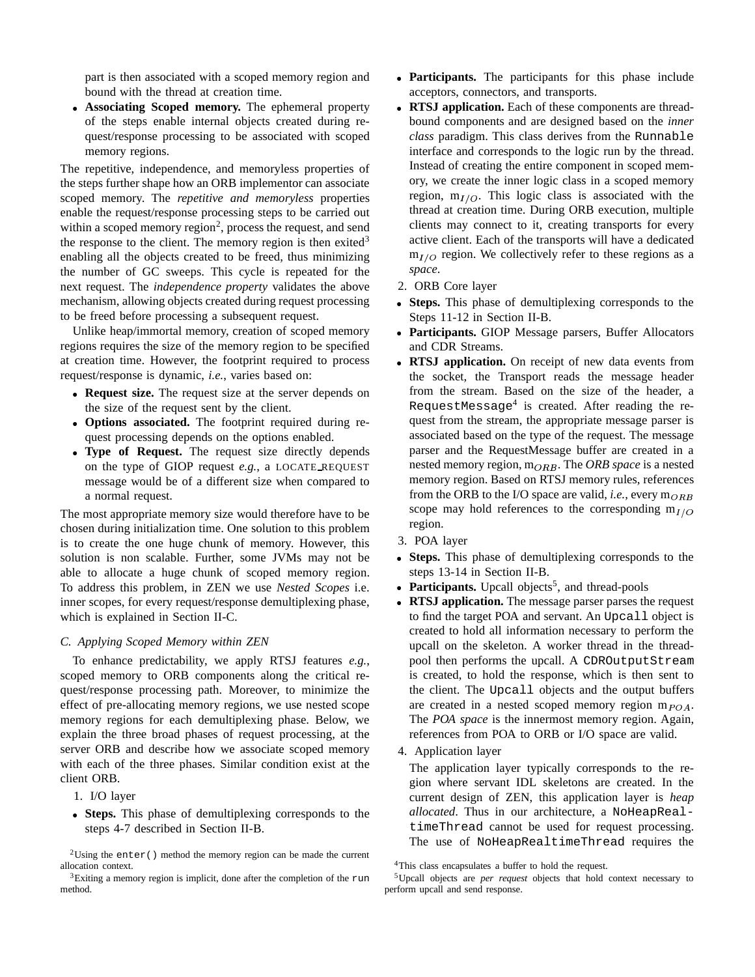part is then associated with a scoped memory region and bound with the thread at creation time.

 **Associating Scoped memory.** The ephemeral property of the steps enable internal objects created during request/response processing to be associated with scoped memory regions.

The repetitive, independence, and memoryless properties of the steps further shape how an ORB implementor can associate scoped memory. The *repetitive and memoryless* properties enable the request/response processing steps to be carried out within a scoped memory region<sup>2</sup>, process the request, and send the response to the client. The memory region is then exited<sup>3</sup> enabling all the objects created to be freed, thus minimizing the number of GC sweeps. This cycle is repeated for the next request. The *independence property* validates the above mechanism, allowing objects created during request processing to be freed before processing a subsequent request.

Unlike heap/immortal memory, creation of scoped memory regions requires the size of the memory region to be specified at creation time. However, the footprint required to process request/response is dynamic, *i.e.*, varies based on:

- **Request size.** The request size at the server depends on the size of the request sent by the client.
- **Options associated.** The footprint required during request processing depends on the options enabled.
- **Type of Request.** The request size directly depends on the type of GIOP request *e.g.*, a LOCATE REQUEST message would be of a different size when compared to a normal request.

The most appropriate memory size would therefore have to be chosen during initialization time. One solution to this problem is to create the one huge chunk of memory. However, this solution is non scalable. Further, some JVMs may not be able to allocate a huge chunk of scoped memory region. To address this problem, in ZEN we use *Nested Scopes* i.e. inner scopes, for every request/response demultiplexing phase, which is explained in Section II-C.

## *C. Applying Scoped Memory within ZEN*

To enhance predictability, we apply RTSJ features *e.g.*, scoped memory to ORB components along the critical request/response processing path. Moreover, to minimize the effect of pre-allocating memory regions, we use nested scope memory regions for each demultiplexing phase. Below, we explain the three broad phases of request processing, at the server ORB and describe how we associate scoped memory with each of the three phases. Similar condition exist at the client ORB.

- 1. I/O layer
- **Steps.** This phase of demultiplexing corresponds to the steps 4-7 described in Section II-B.
- **Participants.** The participants for this phase include acceptors, connectors, and transports.
- **RTSJ application.** Each of these components are threadbound components and are designed based on the *inner class* paradigm. This class derives from the Runnable interface and corresponds to the logic run by the thread. Instead of creating the entire component in scoped memory, we create the inner logic class in a scoped memory region,  $m_{I/O}$ . This logic class is associated with the thread at creation time. During ORB execution, multiple clients may connect to it, creating transports for every active client. Each of the transports will have a dedicated  $m_{I/O}$  region. We collectively refer to these regions as a *space*.
- 2. ORB Core layer
- **Steps.** This phase of demultiplexing corresponds to the Steps 11-12 in Section II-B.
- **Participants.** GIOP Message parsers, Buffer Allocators and CDR Streams.
- **RTSJ application.** On receipt of new data events from the socket, the Transport reads the message header from the stream. Based on the size of the header, a RequestMessage $^4$  is created. After reading the request from the stream, the appropriate message parser is associated based on the type of the request. The message parser and the RequestMessage buffer are created in a nested memory region,  $m_{OBB}$ . The *ORB space* is a nested memory region. Based on RTSJ memory rules, references from the ORB to the I/O space are valid, *i.e.*, every m scope may hold references to the corresponding  $m_{I/O}$ region.
- 3. POA layer
- **Steps.** This phase of demultiplexing corresponds to the steps 13-14 in Section II-B.
- Participants. Upcall objects<sup>5</sup>, and thread-pools
- **RTSJ application.** The message parser parses the request to find the target POA and servant. An Upcall object is created to hold all information necessary to perform the upcall on the skeleton. A worker thread in the threadpool then performs the upcall. A CDROutputStream is created, to hold the response, which is then sent to the client. The Upcall objects and the output buffers are created in a nested scoped memory region  $m_{POA}$ . The *POA space* is the innermost memory region. Again, references from POA to ORB or I/O space are valid.
- 4. Application layer

The application layer typically corresponds to the region where servant IDL skeletons are created. In the current design of ZEN, this application layer is *heap allocated*. Thus in our architecture, a NoHeapRealtimeThread cannot be used for request processing. The use of NoHeapRealtimeThread requires the

<sup>2</sup>Using the enter() method the memory region can be made the current allocation context.

 $3E$ xiting a memory region is implicit, done after the completion of the run method.

<sup>4</sup>This class encapsulates a buffer to hold the request.

<sup>5</sup>Upcall objects are *per request* objects that hold context necessary to perform upcall and send response.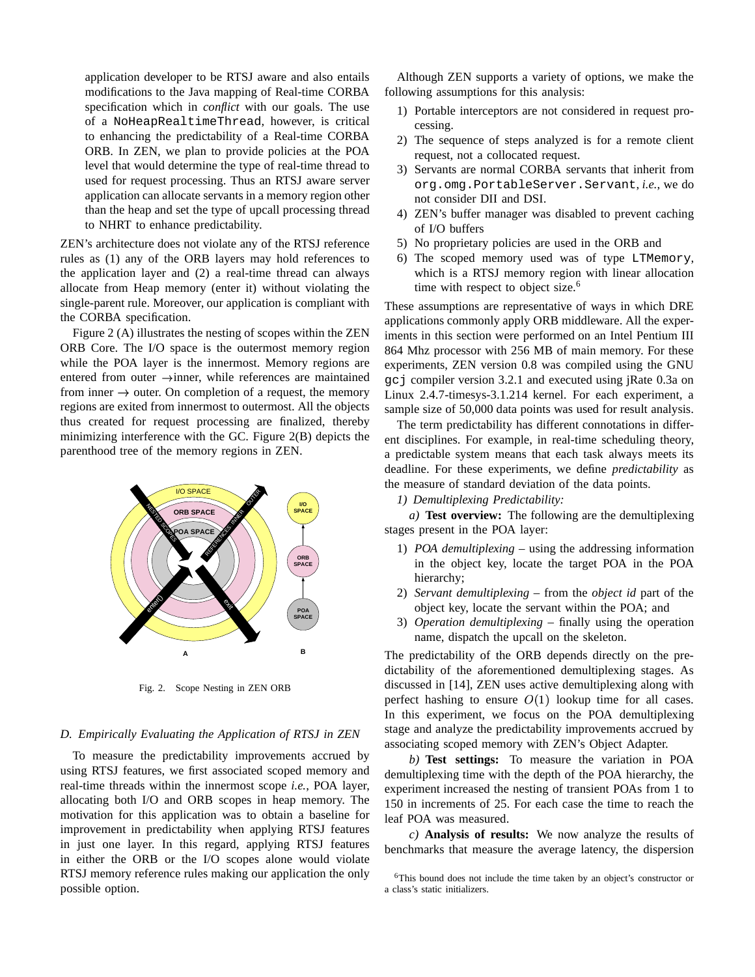application developer to be RTSJ aware and also entails modifications to the Java mapping of Real-time CORBA specification which in *conflict* with our goals. The use of a NoHeapRealtimeThread, however, is critical to enhancing the predictability of a Real-time CORBA ORB. In ZEN, we plan to provide policies at the POA level that would determine the type of real-time thread to used for request processing. Thus an RTSJ aware server application can allocate servants in a memory region other than the heap and set the type of upcall processing thread to NHRT to enhance predictability.

ZEN's architecture does not violate any of the RTSJ reference rules as (1) any of the ORB layers may hold references to the application layer and (2) a real-time thread can always allocate from Heap memory (enter it) without violating the single-parent rule. Moreover, our application is compliant with the CORBA specification.

Figure 2 (A) illustrates the nesting of scopes within the ZEN ORB Core. The I/O space is the outermost memory region while the POA layer is the innermost. Memory regions are entered from outer  $\rightarrow$  inner, while references are maintained from inner  $\rightarrow$  outer. On completion of a request, the memory regions are exited from innermost to outermost. All the objects thus created for request processing are finalized, thereby minimizing interference with the GC. Figure 2(B) depicts the parenthood tree of the memory regions in ZEN.



Fig. 2. Scope Nesting in ZEN ORB

### *D. Empirically Evaluating the Application of RTSJ in ZEN*

To measure the predictability improvements accrued by using RTSJ features, we first associated scoped memory and real-time threads within the innermost scope *i.e.*, POA layer, allocating both I/O and ORB scopes in heap memory. The motivation for this application was to obtain a baseline for improvement in predictability when applying RTSJ features in just one layer. In this regard, applying RTSJ features in either the ORB or the I/O scopes alone would violate RTSJ memory reference rules making our application the only possible option.

Although ZEN supports a variety of options, we make the following assumptions for this analysis:

- 1) Portable interceptors are not considered in request processing.
- 2) The sequence of steps analyzed is for a remote client request, not a collocated request.
- 3) Servants are normal CORBA servants that inherit from org.omg.PortableServer.Servant, *i.e.*, we do not consider DII and DSI.
- 4) ZEN's buffer manager was disabled to prevent caching of I/O buffers
- 5) No proprietary policies are used in the ORB and
- 6) The scoped memory used was of type LTMemory, which is a RTSJ memory region with linear allocation time with respect to object size.<sup>6</sup>

These assumptions are representative of ways in which DRE applications commonly apply ORB middleware. All the experiments in this section were performed on an Intel Pentium III 864 Mhz processor with 256 MB of main memory. For these experiments, ZEN version 0.8 was compiled using the GNU gcj compiler version 3.2.1 and executed using jRate 0.3a on Linux 2.4.7-timesys-3.1.214 kernel. For each experiment, a sample size of 50,000 data points was used for result analysis.

The term predictability has different connotations in different disciplines. For example, in real-time scheduling theory, a predictable system means that each task always meets its deadline. For these experiments, we define *predictability* as the measure of standard deviation of the data points.

*1) Demultiplexing Predictability:*

*a)* **Test overview:** The following are the demultiplexing stages present in the POA layer:

- 1) *POA demultiplexing* using the addressing information in the object key, locate the target POA in the POA hierarchy;
- 2) *Servant demultiplexing* from the *object id* part of the object key, locate the servant within the POA; and
- 3) *Operation demultiplexing* finally using the operation name, dispatch the upcall on the skeleton.

The predictability of the ORB depends directly on the predictability of the aforementioned demultiplexing stages. As discussed in [14], ZEN uses active demultiplexing along with perfect hashing to ensure  $O(1)$  lookup time for all cases. In this experiment, we focus on the POA demultiplexing stage and analyze the predictability improvements accrued by associating scoped memory with ZEN's Object Adapter.

*b)* **Test settings:** To measure the variation in POA demultiplexing time with the depth of the POA hierarchy, the experiment increased the nesting of transient POAs from 1 to 150 in increments of 25. For each case the time to reach the leaf POA was measured.

*c)* **Analysis of results:** We now analyze the results of benchmarks that measure the average latency, the dispersion

<sup>&</sup>lt;sup>6</sup>This bound does not include the time taken by an object's constructor or a class's static initializers.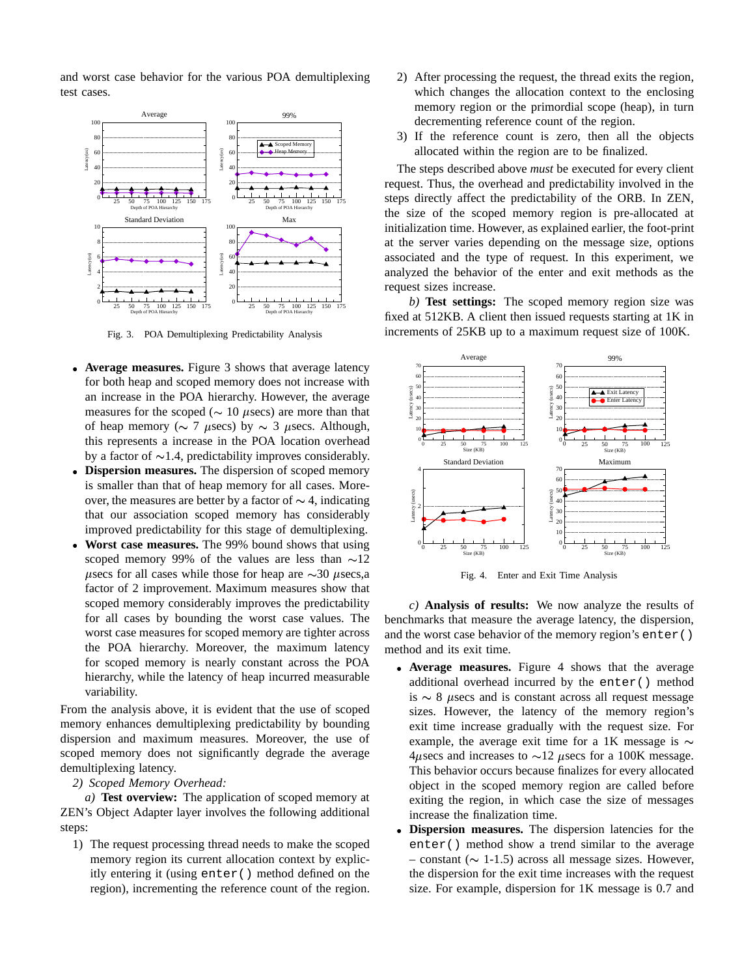and worst case behavior for the various POA demultiplexing test cases.



Fig. 3. POA Demultiplexing Predictability Analysis

- **Average measures.** Figure 3 shows that average latency for both heap and scoped memory does not increase with an increase in the POA hierarchy. However, the average measures for the scoped ( $\sim 10 \mu$ secs) are more than that of heap memory ( $\sim$  7  $\mu$ secs) by  $\sim$  3  $\mu$ secs. Although, this represents a increase in the POA location overhead by a factor of  $\sim$ 1.4, predictability improves considerably.
- **Dispersion measures.** The dispersion of scoped memory is smaller than that of heap memory for all cases. Moreover, the measures are better by a factor of  $\sim$  4, indicating that our association scoped memory has considerably improved predictability for this stage of demultiplexing.
- **Worst case measures.** The 99% bound shows that using scoped memory 99% of the values are less than  $\sim$ 12  $\mu$  secs for all cases while those for heap are  $\sim$ 30  $\mu$ secs, a factor of 2 improvement. Maximum measures show that scoped memory considerably improves the predictability for all cases by bounding the worst case values. The worst case measures for scoped memory are tighter across the POA hierarchy. Moreover, the maximum latency for scoped memory is nearly constant across the POA hierarchy, while the latency of heap incurred measurable variability.

From the analysis above, it is evident that the use of scoped memory enhances demultiplexing predictability by bounding dispersion and maximum measures. Moreover, the use of scoped memory does not significantly degrade the average demultiplexing latency.

*2) Scoped Memory Overhead:*

*a)* **Test overview:** The application of scoped memory at ZEN's Object Adapter layer involves the following additional steps:

1) The request processing thread needs to make the scoped memory region its current allocation context by explicitly entering it (using enter() method defined on the region), incrementing the reference count of the region.

- 2) After processing the request, the thread exits the region, which changes the allocation context to the enclosing memory region or the primordial scope (heap), in turn decrementing reference count of the region.
- 3) If the reference count is zero, then all the objects allocated within the region are to be finalized.

The steps described above *must* be executed for every client request. Thus, the overhead and predictability involved in the steps directly affect the predictability of the ORB. In ZEN, the size of the scoped memory region is pre-allocated at initialization time. However, as explained earlier, the foot-print at the server varies depending on the message size, options associated and the type of request. In this experiment, we analyzed the behavior of the enter and exit methods as the request sizes increase.

*b)* **Test settings:** The scoped memory region size was fixed at 512KB. A client then issued requests starting at 1K in increments of 25KB up to a maximum request size of 100K.



Fig. 4. Enter and Exit Time Analysis

*c)* **Analysis of results:** We now analyze the results of benchmarks that measure the average latency, the dispersion, and the worst case behavior of the memory region's enter() method and its exit time.

- **Average measures.** Figure 4 shows that the average additional overhead incurred by the enter() method is  $\sim$  8  $\mu$ secs and is constant across all request message sizes. However, the latency of the memory region's exit time increase gradually with the request size. For example, the average exit time for a 1K message is  $\sim$  $4\mu$ secs and increases to  $\sim$ 12  $\mu$ secs for a 100K message. This behavior occurs because finalizes for every allocated object in the scoped memory region are called before exiting the region, in which case the size of messages increase the finalization time.
- **Dispersion measures.** The dispersion latencies for the enter() method show a trend similar to the average – constant ( $\sim$  1-1.5) across all message sizes. However, the dispersion for the exit time increases with the request size. For example, dispersion for 1K message is 0.7 and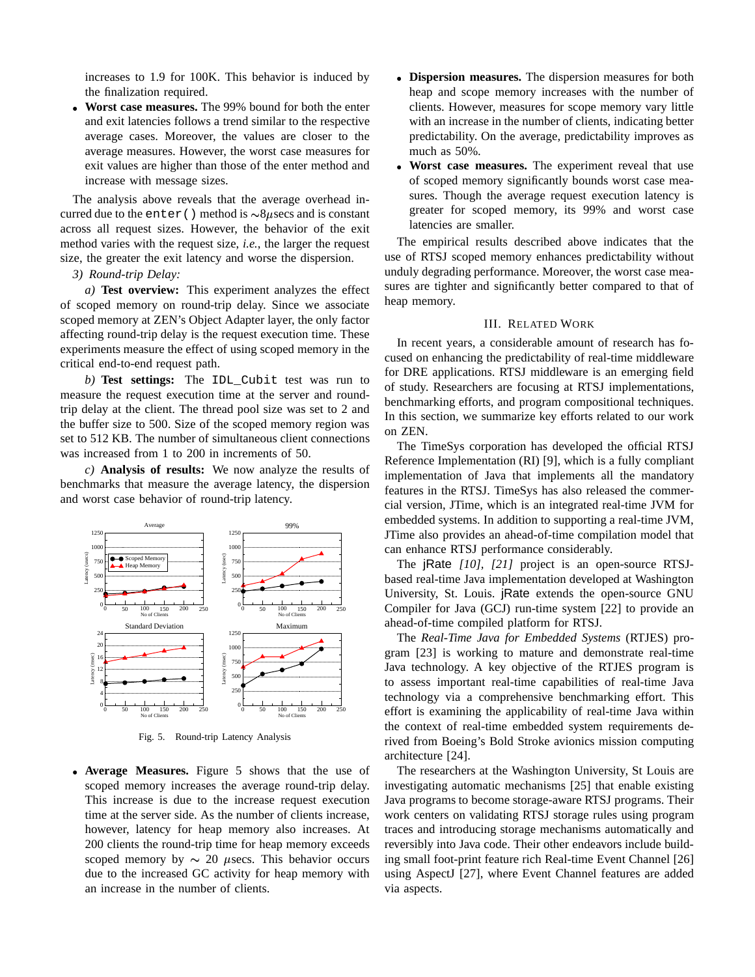increases to 1.9 for 100K. This behavior is induced by the finalization required.

 **Worst case measures.** The 99% bound for both the enter and exit latencies follows a trend similar to the respective average cases. Moreover, the values are closer to the average measures. However, the worst case measures for exit values are higher than those of the enter method and increase with message sizes.

The analysis above reveals that the average overhead incurred due to the enter () method is  $\sim 8 \mu$ secs and is constant across all request sizes. However, the behavior of the exit method varies with the request size, *i.e.*, the larger the request size, the greater the exit latency and worse the dispersion.

*3) Round-trip Delay:*

*a)* **Test overview:** This experiment analyzes the effect of scoped memory on round-trip delay. Since we associate scoped memory at ZEN's Object Adapter layer, the only factor affecting round-trip delay is the request execution time. These experiments measure the effect of using scoped memory in the critical end-to-end request path.

*b)* **Test settings:** The IDL\_Cubit test was run to measure the request execution time at the server and roundtrip delay at the client. The thread pool size was set to 2 and the buffer size to 500. Size of the scoped memory region was set to 512 KB. The number of simultaneous client connections was increased from 1 to 200 in increments of 50.

*c)* **Analysis of results:** We now analyze the results of benchmarks that measure the average latency, the dispersion and worst case behavior of round-trip latency.



Fig. 5. Round-trip Latency Analysis

 **Average Measures.** Figure 5 shows that the use of scoped memory increases the average round-trip delay. This increase is due to the increase request execution time at the server side. As the number of clients increase, however, latency for heap memory also increases. At 200 clients the round-trip time for heap memory exceeds scoped memory by  $\sim 20$   $\mu$ secs. This behavior occurs due to the increased GC activity for heap memory with an increase in the number of clients.

- **Dispersion measures.** The dispersion measures for both heap and scope memory increases with the number of clients. However, measures for scope memory vary little with an increase in the number of clients, indicating better predictability. On the average, predictability improves as much as 50%.
- **Worst case measures.** The experiment reveal that use of scoped memory significantly bounds worst case measures. Though the average request execution latency is greater for scoped memory, its 99% and worst case latencies are smaller.

The empirical results described above indicates that the use of RTSJ scoped memory enhances predictability without unduly degrading performance. Moreover, the worst case measures are tighter and significantly better compared to that of heap memory.

### III. RELATED WORK

In recent years, a considerable amount of research has focused on enhancing the predictability of real-time middleware for DRE applications. RTSJ middleware is an emerging field of study. Researchers are focusing at RTSJ implementations, benchmarking efforts, and program compositional techniques. In this section, we summarize key efforts related to our work on ZEN.

The TimeSys corporation has developed the official RTSJ Reference Implementation (RI) [9], which is a fully compliant implementation of Java that implements all the mandatory features in the RTSJ. TimeSys has also released the commercial version, JTime, which is an integrated real-time JVM for embedded systems. In addition to supporting a real-time JVM, JTime also provides an ahead-of-time compilation model that can enhance RTSJ performance considerably.

The jRate *[10], [21]* project is an open-source RTSJbased real-time Java implementation developed at Washington University, St. Louis. jRate extends the open-source GNU Compiler for Java (GCJ) run-time system [22] to provide an ahead-of-time compiled platform for RTSJ.

The *Real-Time Java for Embedded Systems* (RTJES) program [23] is working to mature and demonstrate real-time Java technology. A key objective of the RTJES program is to assess important real-time capabilities of real-time Java technology via a comprehensive benchmarking effort. This effort is examining the applicability of real-time Java within the context of real-time embedded system requirements derived from Boeing's Bold Stroke avionics mission computing architecture [24].

The researchers at the Washington University, St Louis are investigating automatic mechanisms [25] that enable existing Java programs to become storage-aware RTSJ programs. Their work centers on validating RTSJ storage rules using program traces and introducing storage mechanisms automatically and reversibly into Java code. Their other endeavors include building small foot-print feature rich Real-time Event Channel [26] using AspectJ [27], where Event Channel features are added via aspects.